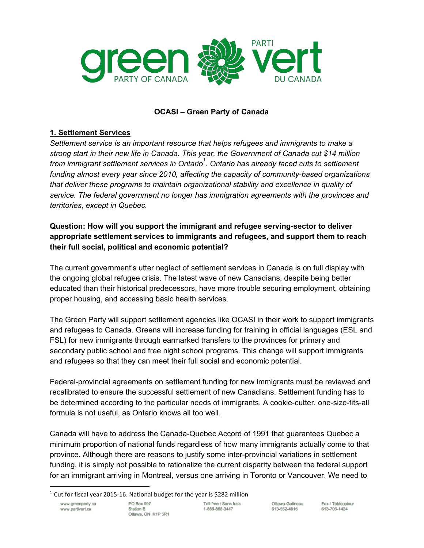

### **OCASI – Green Party of Canada**

#### **1. Settlement Services**

*Settlement service is an important resource that helps refugees and immigrants to make a strong start in their new life in Canada. This year, the Government of Canada cut \$14 million from immigrant settlement services in Ontario . Ontario has already faced cuts to settlement 1 funding almost every year since 2010, affecting the capacity of communitybased organizations that deliver these programs to maintain organizational stability and excellence in quality of service. The federal government no longer has immigration agreements with the provinces and territories, except in Quebec.*

# **Question: How will you support the immigrant and refugee servingsector to deliver appropriate settlement services to immigrants and refugees, and support them to reach their full social, political and economic potential?**

The current government's utter neglect of settlement services in Canada is on full display with the ongoing global refugee crisis. The latest wave of new Canadians, despite being better educated than their historical predecessors, have more trouble securing employment, obtaining proper housing, and accessing basic health services.

The Green Party will support settlement agencies like OCASI in their work to support immigrants and refugees to Canada. Greens will increase funding for training in official languages (ESL and FSL) for new immigrants through earmarked transfers to the provinces for primary and secondary public school and free night school programs. This change will support immigrants and refugees so that they can meet their full social and economic potential.

Federal-provincial agreements on settlement funding for new immigrants must be reviewed and recalibrated to ensure the successful settlement of new Canadians. Settlement funding has to be determined according to the particular needs of immigrants. A cookie-cutter, one-size-fits-all formula is not useful, as Ontario knows all too well.

Canada will have to address the Canada-Quebec Accord of 1991 that guarantees Quebec a minimum proportion of national funds regardless of how many immigrants actually come to that province. Although there are reasons to justify some inter-provincial variations in settlement funding, it is simply not possible to rationalize the current disparity between the federal support for an immigrant arriving in Montreal, versus one arriving in Toronto or Vancouver. We need to

www.greenparty.ca www.partivert.ca

 $1$  Cut for fiscal year 2015-16. National budget for the year is \$282 million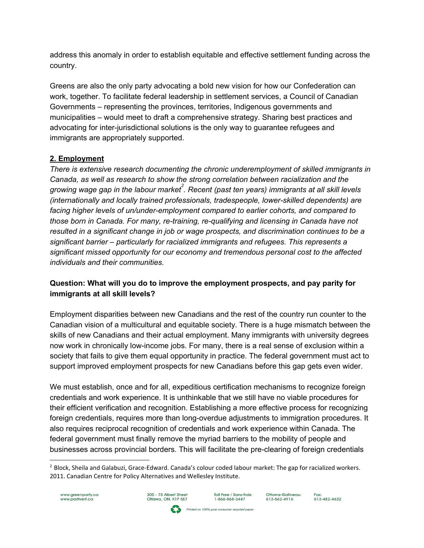address this anomaly in order to establish equitable and effective settlement funding across the country.

Greens are also the only party advocating a bold new vision for how our Confederation can work, together. To facilitate federal leadership in settlement services, a Council of Canadian Governments – representing the provinces, territories, Indigenous governments and municipalities – would meet to draft a comprehensive strategy. Sharing best practices and advocating for inter-jurisdictional solutions is the only way to guarantee refugees and immigrants are appropriately supported.

#### **2. Employment**

*There is extensive research documenting the chronic underemployment of skilled immigrants in Canada, as well as research to show the strong correlation between racialization and the growing wage gap in the labour market . Recent (past ten years) immigrants at all skill levels 2 (internationally and locally trained professionals, tradespeople, lowerskilled dependents) are facing higher levels of un/underemployment compared to earlier cohorts, and compared to those born in Canada. For many, re-training, re-qualifying and licensing in Canada have not resulted in a significant change in job or wage prospects, and discrimination continues to be a significant barrier – particularly for racialized immigrants and refugees. This represents a significant missed opportunity for our economy and tremendous personal cost to the affected individuals and their communities.*

# **Question: What will you do to improve the employment prospects, and pay parity for immigrants at all skill levels?**

Employment disparities between new Canadians and the rest of the country run counter to the Canadian vision of a multicultural and equitable society. There is a huge mismatch between the skills of new Canadians and their actual employment. Many immigrants with university degrees now work in chronically low-income jobs. For many, there is a real sense of exclusion within a society that fails to give them equal opportunity in practice. The federal government must act to support improved employment prospects for new Canadians before this gap gets even wider.

We must establish, once and for all, expeditious certification mechanisms to recognize foreign credentials and work experience. It is unthinkable that we still have no viable procedures for their efficient verification and recognition. Establishing a more effective process for recognizing foreign credentials, requires more than long-overdue adjustments to immigration procedures. It also requires reciprocal recognition of credentials and work experience within Canada. The federal government must finally remove the myriad barriers to the mobility of people and businesses across provincial borders. This will facilitate the preclearing of foreign credentials

<sup>&</sup>lt;sup>2</sup> Block, Sheila and Galabuzi, Grace-Edward. Canada's colour coded labour market: The gap for racialized workers. 2011. Canadian Centre for Policy Alternatives and Wellesley Institute.





Toll Free / Sans-frais:<br>1-866-868-3447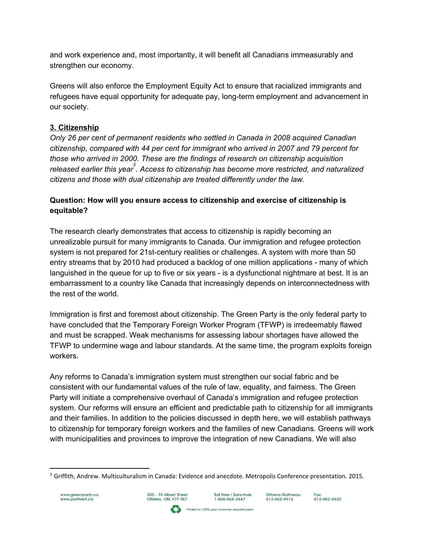and work experience and, most importantly, it will benefit all Canadians immeasurably and strengthen our economy.

Greens will also enforce the Employment Equity Act to ensure that racialized immigrants and refugees have equal opportunity for adequate pay, long-term employment and advancement in our society.

# **3. Citizenship**

*Only 26 per cent of permanent residents who settled in Canada in 2008 acquired Canadian citizenship, compared with 44 per cent for immigrant who arrived in 2007 and 79 percent for those who arrived in 2000. These are the findings of research on citizenship acquisition released earlier this year . Access to citizenship has become more restricted, and naturalized 3 citizens and those with dual citizenship are treated differently under the law.*

# **Question: How will you ensure access to citizenship and exercise of citizenship is equitable?**

The research clearly demonstrates that access to citizenship is rapidly becoming an unrealizable pursuit for many immigrants to Canada. Our immigration and refugee protection system is not prepared for 21st-century realities or challenges. A system with more than 50 entry streams that by 2010 had produced a backlog of one million applications - many of which languished in the queue for up to five or six years - is a dysfunctional nightmare at best. It is an embarrassment to a country like Canada that increasingly depends on interconnectedness with the rest of the world.

Immigration is first and foremost about citizenship. The Green Party is the only federal party to have concluded that the Temporary Foreign Worker Program (TFWP) is irredeemably flawed and must be scrapped. Weak mechanisms for assessing labour shortages have allowed the TFWP to undermine wage and labour standards. At the same time, the program exploits foreign workers.

Any reforms to Canada's immigration system must strengthen our social fabric and be consistent with our fundamental values of the rule of law, equality, and fairness. The Green Party will initiate a comprehensive overhaul of Canada's immigration and refugee protection system. Our reforms will ensure an efficient and predictable path to citizenship for all immigrants and their families. In addition to the policies discussed in depth here, we will establish pathways to citizenship for temporary foreign workers and the families of new Canadians. Greens will work with municipalities and provinces to improve the integration of new Canadians. We will also

Printed on 100% post consumer recycled paper



Toll Free / Sans-frais:<br>1-866-868-3447

<sup>&</sup>lt;sup>3</sup> Griffith, Andrew. Multiculturalism in Canada: Evidence and anecdote. Metropolis Conference presentation. 2015.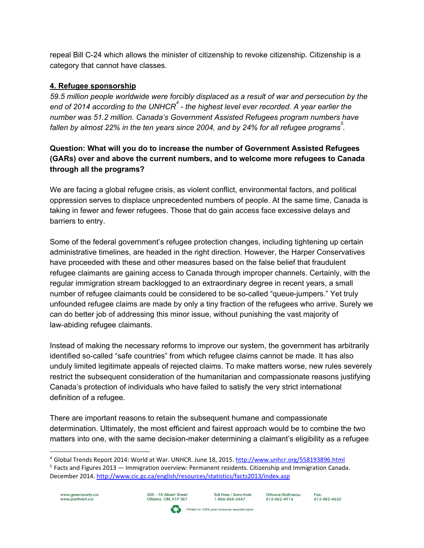repeal Bill C24 which allows the minister of citizenship to revoke citizenship. Citizenship is a category that cannot have classes.

#### **4. Refugee sponsorship**

*59.5 million people worldwide were forcibly displaced as a result of war and persecution by the end of 2014 according to the UNHCR the highest level ever recorded. A year earlier the 4 number was 51.2 million. Canada's Government Assisted Refugees program numbers have fallen by almost 22% in the ten years since 2004, and by 24% for all refugee programs . 5*

# **Question: What will you do to increase the number of Government Assisted Refugees (GARs) over and above the current numbers, and to welcome more refugees to Canada through all the programs?**

We are facing a global refugee crisis, as violent conflict, environmental factors, and political oppression serves to displace unprecedented numbers of people. At the same time, Canada is taking in fewer and fewer refugees. Those that do gain access face excessive delays and barriers to entry.

Some of the federal government's refugee protection changes, including tightening up certain administrative timelines, are headed in the right direction. However, the Harper Conservatives have proceeded with these and other measures based on the false belief that fraudulent refugee claimants are gaining access to Canada through improper channels. Certainly, with the regular immigration stream backlogged to an extraordinary degree in recent years, a small number of refugee claimants could be considered to be so-called "gueue-jumpers." Yet truly unfounded refugee claims are made by only a tiny fraction of the refugees who arrive. Surely we can do better job of addressing this minor issue, without punishing the vast majority of law-abiding refugee claimants.

Instead of making the necessary reforms to improve our system, the government has arbitrarily identified so-called "safe countries" from which refugee claims cannot be made. It has also unduly limited legitimate appeals of rejected claims. To make matters worse, new rules severely restrict the subsequent consideration of the humanitarian and compassionate reasons justifying Canada's protection of individuals who have failed to satisfy the very strict international definition of a refugee.

There are important reasons to retain the subsequent humane and compassionate determination. Ultimately, the most efficient and fairest approach would be to combine the two matters into one, with the same decision-maker determining a claimant's eligibility as a refugee

Printed on 100% post consumer recycled paper

 $5$  Facts and Figures 2013 — Immigration overview: Permanent residents. Citizenship and Immigration Canada. December 2014. <http://www.cic.gc.ca/english/resources/statistics/facts2013/index.asp>





<sup>&</sup>lt;sup>4</sup> Global Trends Report 2014: World at War. UNHCR. June 18, 2015. <http://www.unhcr.org/558193896.html>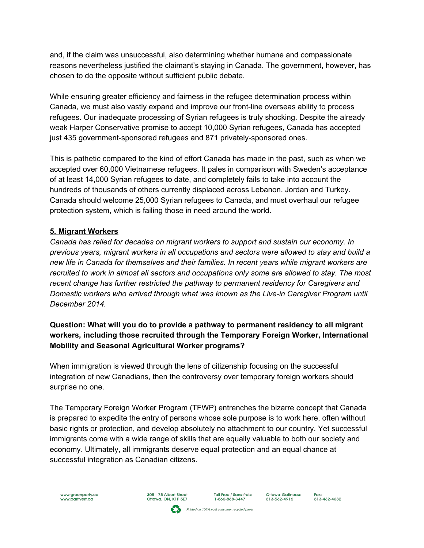and, if the claim was unsuccessful, also determining whether humane and compassionate reasons nevertheless justified the claimant's staying in Canada. The government, however, has chosen to do the opposite without sufficient public debate.

While ensuring greater efficiency and fairness in the refugee determination process within Canada, we must also vastly expand and improve our front-line overseas ability to process refugees. Our inadequate processing of Syrian refugees is truly shocking. Despite the already weak Harper Conservative promise to accept 10,000 Syrian refugees, Canada has accepted just 435 government-sponsored refugees and 871 privately-sponsored ones.

This is pathetic compared to the kind of effort Canada has made in the past, such as when we accepted over 60,000 Vietnamese refugees. It pales in comparison with Sweden's acceptance of at least 14,000 Syrian refugees to date, and completely fails to take into account the hundreds of thousands of others currently displaced across Lebanon, Jordan and Turkey. Canada should welcome 25,000 Syrian refugees to Canada, and must overhaul our refugee protection system, which is failing those in need around the world.

# **5. Migrant Workers**

*Canada has relied for decades on migrant workers to support and sustain our economy. In previous years, migrant workers in all occupations and sectors were allowed to stay and build a new life in Canada for themselves and their families. In recent years while migrant workers are recruited to work in almost all sectors and occupations only some are allowed to stay. The most recent change has further restricted the pathway to permanent residency for Caregivers and Domestic workers who arrived through what was known as the Livein Caregiver Program until December 2014.*

# **Question: What will you do to provide a pathway to permanent residency to all migrant workers, including those recruited through the Temporary Foreign Worker, International Mobility and Seasonal Agricultural Worker programs?**

When immigration is viewed through the lens of citizenship focusing on the successful integration of new Canadians, then the controversy over temporary foreign workers should surprise no one.

The Temporary Foreign Worker Program (TFWP) entrenches the bizarre concept that Canada is prepared to expedite the entry of persons whose sole purpose is to work here, often without basic rights or protection, and develop absolutely no attachment to our country. Yet successful immigrants come with a wide range of skills that are equally valuable to both our society and economy. Ultimately, all immigrants deserve equal protection and an equal chance at successful integration as Canadian citizens.

Printed on 100% post consumer recycled paper

305 - 75 Albert Street<br>Ottawa, ON, K1P 5E7

Toll Free / Sans-frais:<br>1-866-868-3447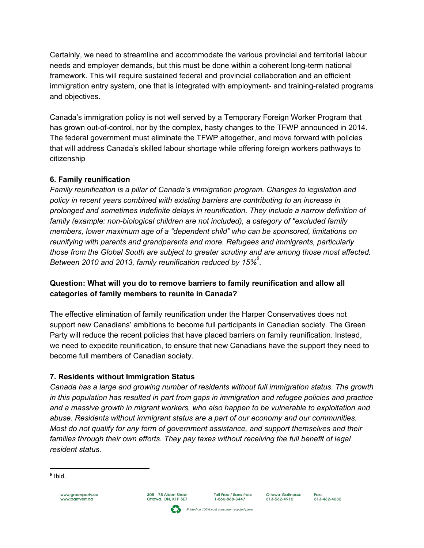Certainly, we need to streamline and accommodate the various provincial and territorial labour needs and employer demands, but this must be done within a coherent long-term national framework. This will require sustained federal and provincial collaboration and an efficient immigration entry system, one that is integrated with employment- and training-related programs and objectives.

Canada's immigration policy is not well served by a Temporary Foreign Worker Program that has grown out-of-control, nor by the complex, hasty changes to the TFWP announced in 2014. The federal government must eliminate the TFWP altogether, and move forward with policies that will address Canada's skilled labour shortage while offering foreign workers pathways to citizenship

# **6. Family reunification**

*Family reunification is a pillar of Canada's immigration program. Changes to legislation and policy in recent years combined with existing barriers are contributing to an increase in prolonged and sometimes indefinite delays in reunification. They include a narrow definition of family (example: nonbiological children are not included), a category of "excluded family members, lower maximum age of a "dependent child" who can be sponsored, limitations on reunifying with parents and grandparents and more. Refugees and immigrants, particularly those from the Global South are subject to greater scrutiny and are among those most affected. Between 2010 and 2013, family reunification reduced by 15% . 6*

# **Question: What will you do to remove barriers to family reunification and allow all categories of family members to reunite in Canada?**

The effective elimination of family reunification under the Harper Conservatives does not support new Canadians' ambitions to become full participants in Canadian society. The Green Party will reduce the recent policies that have placed barriers on family reunification. Instead, we need to expedite reunification, to ensure that new Canadians have the support they need to become full members of Canadian society.

# **7. Residents without Immigration Status**

*Canada has a large and growing number of residents without full immigration status. The growth in this population has resulted in part from gaps in immigration and refugee policies and practice and a massive growth in migrant workers, who also happen to be vulnerable to exploitation and abuse. Residents without immigrant status are a part of our economy and our communities. Most do not qualify for any form of government assistance, and support themselves and their families through their own efforts. They pay taxes without receiving the full benefit of legal resident status.*

305 - 75 Albert Street<br>Ottawa, ON, K1P 5E7

Toll Free / Sans-frais:<br>1-866-868-3447

Printed on 100% post consumer recycled paper

**<sup>6</sup>** Ibid.